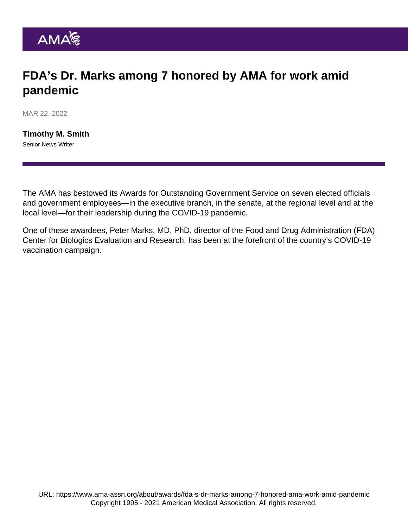## FDA's Dr. Marks among 7 honored by AMA for work amid pandemic

MAR 22, 2022

[Timothy M. Smith](https://www.ama-assn.org/news-leadership-viewpoints/authors-news-leadership-viewpoints/timothy-m-smith) Senior News Writer

The AMA has bestowed its [Awards for Outstanding Government Service](https://www.ama-assn.org/about/awards/american-medical-association-awards-outstanding-government-service) on seven elected officials and government employees—in the executive branch, in the senate, at the regional level and at the local level—for their leadership during the COVID-19 pandemic.

One of these awardees, Peter Marks, MD, PhD, director of the Food and Drug Administration (FDA) Center for Biologics Evaluation and Research, has been at the forefront of the country's COVID-19 vaccination campaign.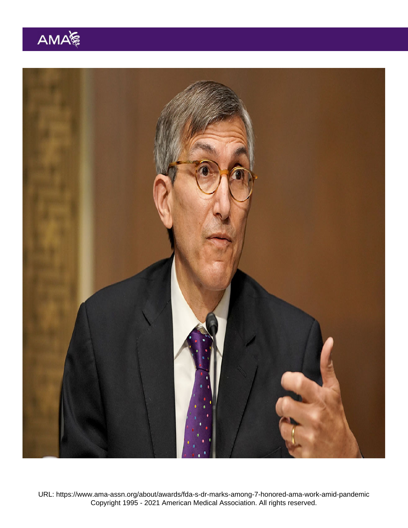URL:<https://www.ama-assn.org/about/awards/fda-s-dr-marks-among-7-honored-ama-work-amid-pandemic> Copyright 1995 - 2021 American Medical Association. All rights reserved.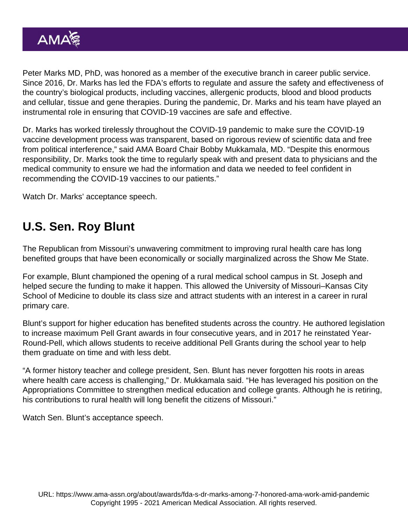Peter Marks MD, PhD, was honored as a member of the executive branch in career public service. Since 2016, Dr. Marks has led the FDA's efforts to regulate and assure the safety and effectiveness of the country's biological products, including vaccines, allergenic products, blood and blood products and cellular, tissue and gene therapies. During the pandemic, Dr. Marks and his team have played an instrumental role in ensuring that COVID-19 vaccines are safe and effective.

Dr. Marks has worked tirelessly throughout the COVID-19 pandemic to make sure the COVID-19 vaccine development process was transparent, based on rigorous review of scientific data and free from political interference," said AMA Board Chair [Bobby Mukkamala, MD.](https://www.ama-assn.org/about/board-trustees/bobby-mukkamala-md) "Despite this enormous responsibility, Dr. Marks took the time to regularly speak with and present data to physicians and the medical community to ensure we had the information and data we needed to feel confident in recommending the COVID-19 vaccines to our patients."

[Watch Dr. Marks' acceptance speech.](https://youtu.be/ePu6sVHckWM)

## U.S. Sen. Roy Blunt

The Republican from Missouri's unwavering commitment to improving rural health care has long benefited groups that have been economically or socially marginalized across the Show Me State.

For example, Blunt championed the opening of a rural medical school campus in St. Joseph and helped secure the funding to make it happen. This allowed the University of Missouri–Kansas City School of Medicine to double its class size and attract students with an interest in a career in rural primary care.

Blunt's support for higher education has benefited students across the country. He authored legislation to increase maximum Pell Grant awards in four consecutive years, and in 2017 he reinstated Year-Round-Pell, which allows students to receive additional Pell Grants during the school year to help them graduate on time and with less debt.

"A former history teacher and college president, Sen. Blunt has never forgotten his roots in areas where health care access is challenging," Dr. Mukkamala said. "He has leveraged his position on the Appropriations Committee to strengthen medical education and college grants. Although he is retiring, his contributions to rural health will long benefit the citizens of Missouri."

[Watch Sen. Blunt's acceptance speech](https://www.youtube.com/watch?v=JLwtfNgynCQ).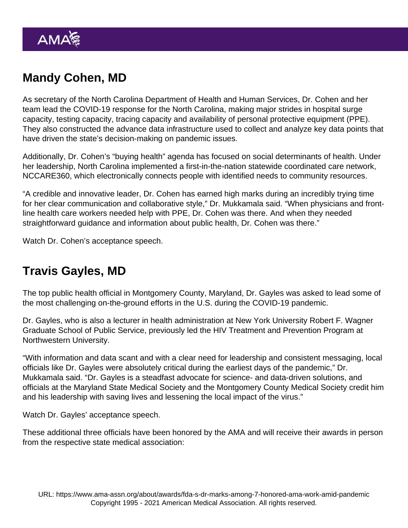## Mandy Cohen, MD

As secretary of the North Carolina Department of Health and Human Services, Dr. Cohen and her team lead the COVID-19 response for the North Carolina, making major strides in hospital surge capacity, testing capacity, tracing capacity and availability of personal protective equipment (PPE). They also constructed the advance data infrastructure used to collect and analyze key data points that have driven the state's decision-making on pandemic issues.

Additionally, Dr. Cohen's "buying health" agenda has focused on social determinants of health. Under her leadership, North Carolina implemented a first-in-the-nation statewide coordinated care network, [NCCARE360,](https://nccare360.org/) which electronically connects people with identified needs to community resources.

"A credible and innovative leader, Dr. Cohen has earned high marks during an incredibly trying time for her clear communication and collaborative style," Dr. Mukkamala said. "When physicians and frontline health care workers needed help with PPE, Dr. Cohen was there. And when they needed straightforward guidance and information about public health, Dr. Cohen was there."

[Watch Dr. Cohen's acceptance speech](https://www.youtube.com/watch?v=PtnVEuD7Kts).

## Travis Gayles, MD

The top public health official in Montgomery County, Maryland, Dr. Gayles was asked to lead some of the most challenging on-the-ground efforts in the U.S. during the COVID-19 pandemic.

Dr. Gayles, who is also a lecturer in health administration at New York University Robert F. Wagner Graduate School of Public Service, previously led the HIV Treatment and Prevention Program at Northwestern University.

"With information and data scant and with a clear need for leadership and consistent messaging, local officials like Dr. Gayles were absolutely critical during the earliest days of the pandemic," Dr. Mukkamala said. "Dr. Gayles is a steadfast advocate for science- and data-driven solutions, and officials at the Maryland State Medical Society and the Montgomery County Medical Society credit him and his leadership with saving lives and lessening the local impact of the virus."

[Watch Dr. Gayles' acceptance speech](https://www.youtube.com/watch?v=W5hCYBVc314).

These additional three officials have been honored by the AMA and will receive their awards in person from the respective state medical association: